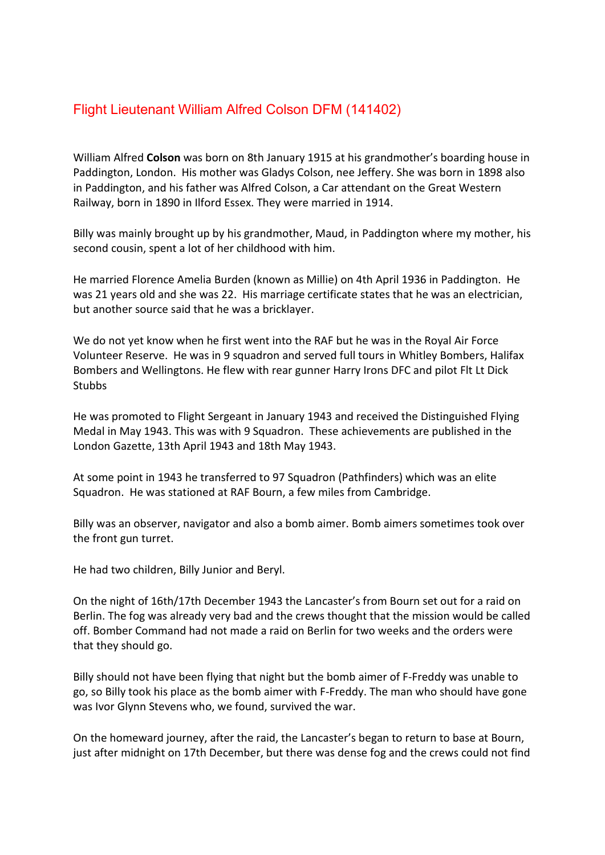## Flight Lieutenant William Alfred Colson DFM (141402)

William Alfred **Colson** was born on 8th January 1915 at his grandmother's boarding house in Paddington, London. His mother was Gladys Colson, nee Jeffery. She was born in 1898 also in Paddington, and his father was Alfred Colson, a Car attendant on the Great Western Railway, born in 1890 in Ilford Essex. They were married in 1914.

Billy was mainly brought up by his grandmother, Maud, in Paddington where my mother, his second cousin, spent a lot of her childhood with him.

He married Florence Amelia Burden (known as Millie) on 4th April 1936 in Paddington. He was 21 years old and she was 22. His marriage certificate states that he was an electrician, but another source said that he was a bricklayer.

We do not yet know when he first went into the RAF but he was in the Royal Air Force Volunteer Reserve. He was in 9 squadron and served full tours in Whitley Bombers, Halifax Bombers and Wellingtons. He flew with rear gunner Harry Irons DFC and pilot Flt Lt Dick **Stubbs** 

He was promoted to Flight Sergeant in January 1943 and received the Distinguished Flying Medal in May 1943. This was with 9 Squadron. These achievements are published in the London Gazette, 13th April 1943 and 18th May 1943.

At some point in 1943 he transferred to 97 Squadron (Pathfinders) which was an elite Squadron. He was stationed at RAF Bourn, a few miles from Cambridge.

Billy was an observer, navigator and also a bomb aimer. Bomb aimers sometimes took over the front gun turret.

He had two children, Billy Junior and Beryl.

On the night of 16th/17th December 1943 the Lancaster's from Bourn set out for a raid on Berlin. The fog was already very bad and the crews thought that the mission would be called off. Bomber Command had not made a raid on Berlin for two weeks and the orders were that they should go.

Billy should not have been flying that night but the bomb aimer of F-Freddy was unable to go, so Billy took his place as the bomb aimer with F-Freddy. The man who should have gone was Ivor Glynn Stevens who, we found, survived the war.

On the homeward journey, after the raid, the Lancaster's began to return to base at Bourn, just after midnight on 17th December, but there was dense fog and the crews could not find